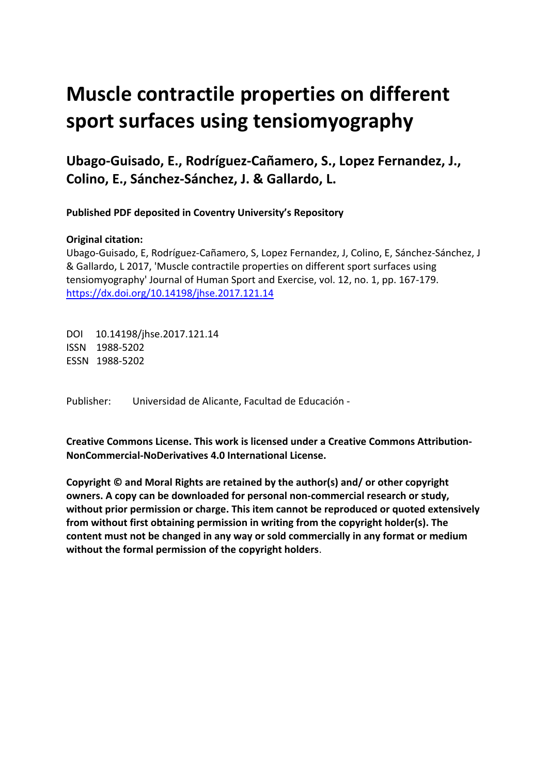# **Muscle contractile properties on different sport surfaces using tensiomyography**

**Ubago-Guisado, E., Rodríguez-Cañamero, S., Lopez Fernandez, J., Colino, E., Sánchez-Sánchez, J. & Gallardo, L.** 

**Published PDF deposited in Coventry University's Repository** 

#### **Original citation:**

Ubago-Guisado, E, Rodríguez-Cañamero, S, Lopez Fernandez, J, Colino, E, Sánchez-Sánchez, J & Gallardo, L 2017, 'Muscle contractile properties on different sport surfaces using tensiomyography' Journal of Human Sport and Exercise, vol. 12, no. 1, pp. 167-179. https://dx.doi.org/10.14198/jhse.2017.121.14

 DOI 10.14198/jhse.2017.121.14 ISSN 1988-5202 ESSN 1988-5202

Publisher: Universidad de Alicante, Facultad de Educación -

**Creative Commons License. This work is licensed under a Creative Commons Attribution-NonCommercial-NoDerivatives 4.0 International License.** 

**Copyright © and Moral Rights are retained by the author(s) and/ or other copyright owners. A copy can be downloaded for personal non-commercial research or study, without prior permission or charge. This item cannot be reproduced or quoted extensively from without first obtaining permission in writing from the copyright holder(s). The content must not be changed in any way or sold commercially in any format or medium without the formal permission of the copyright holders**.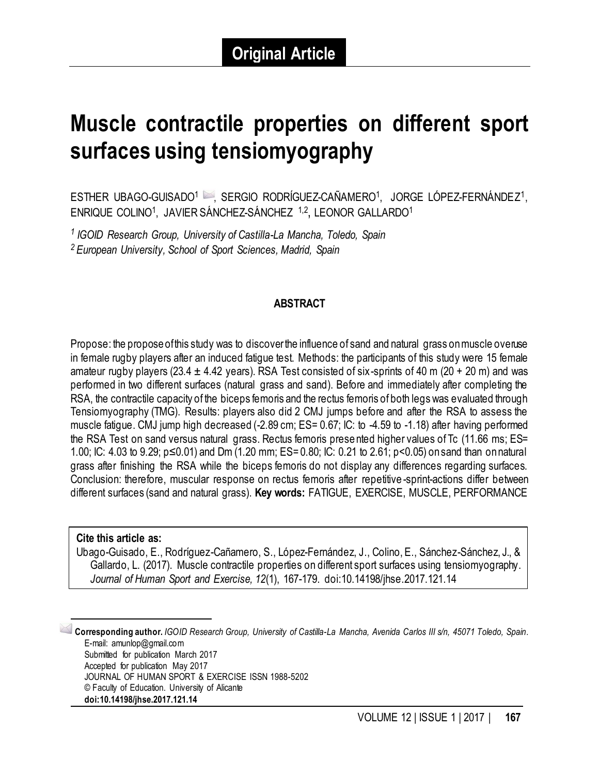# **Muscle contractile properties on different sport surfaces using tensiomyography**

ESTHER UBAGO-GUISADO<sup>1</sup> , SERGIO RODRÍGUEZ-CAÑAMERO<sup>1</sup>, JORGE LÓPEZ-FERNÁNDEZ<sup>1</sup>, ENRIQUE COLINO<sup>1</sup>, JAVIER SÁNCHEZ-SÁNCHEZ <sup>1,2</sup>, LEONOR GALLARDO<sup>1</sup>

 *1 IGOID Research Group, University of Castilla-La Mancha, Toledo, Spain 2 European University, School of Sport Sciences, Madrid, Spain* 

#### **ABSTRACT**

 Propose: the proposeofthis study was to discoverthe influence of sand and natural grass onmuscle overuse in female rugby players after an induced fatigue test. Methods: the participants of this study were 15 female amateur rugby players (23.4  $\pm$  4.42 years). RSA Test consisted of six-sprints of 40 m (20 + 20 m) and was performed in two different surfaces (natural grass and sand). Before and immediately after completing the RSA, the contractile capacity of the biceps femoris and the rectus femoris of both legs was evaluated through Tensiomyography (TMG). Results: players also did 2 CMJ jumps before and after the RSA to assess the muscle fatigue. CMJ jump high decreased (-2.89 cm; ES= 0.67; IC: to -4.59 to -1.18) after having performed the RSA Test on sand versus natural grass. Rectus femoris prese nted higher values of Tc (11.66 ms; ES= 1.00; IC: 4.03 to 9.29; p≤0.01) and Dm (1.20 mm; ES= 0.80; IC: 0.21 to 2.61; p<0.05) onsand than onnatural grass after finishing the RSA while the biceps femoris do not display any differences regarding surfaces. Conclusion: therefore, muscular response on rectus femoris after repetitive -sprint-actions differ between different surfaces (sand and natural grass). **Key words:** FATIGUE, EXERCISE, MUSCLE, PERFORMANCE

#### **Cite this article as:**

 $\overline{a}$ 

 Gallardo, L. (2017). Muscle contractile properties on different sport surfaces using tensiomyography.  *Journal of Human Sport and Exercise, 12*(1), 167-179. doi:10.14198/jhse.2017.121.14 Ubago-Guisado, E., Rodríguez-Cañamero, S., López-Fernández, J., Colino, E., Sánchez-Sánchez, J., &

 1 **Corresponding author.** *IGOID Research Group, University of Castilla-La Mancha, Avenida Carlos III s/n, 45071 Toledo, Spain.*  Submitted for publication March 2017 JOURNAL OF HUMAN SPORT & EXERCISE ISSN 1988-5202 © Faculty of Education. University of Alicante E-mail: amunlop@gmail.com Accepted for publication May 2017 **doi:10.14198/jhse.2017.121.14**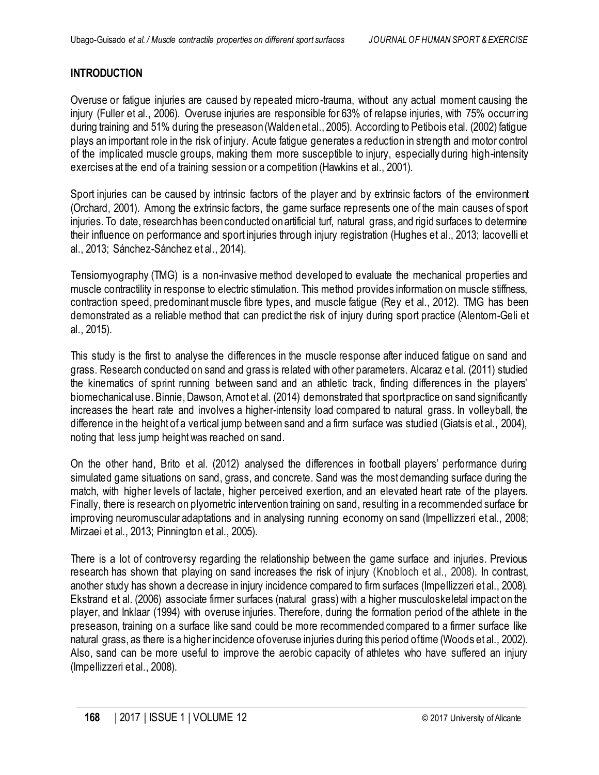## **INTRODUCTION**

 Overuse or fatigue injuries are caused by repeated micro-trauma, without any actual moment causing the injury (Fuller et al., 2006). Overuse injuries are responsible for 63% of relapse injuries, with 75% occurring during training and 51% during the preseason(Waldenetal., 2005). According to Petibois etal. (2002) fatigue plays an important role in the risk of injury. Acute fatigue generates a reduction in strength and motor control of the implicated muscle groups, making them more susceptible to injury, especially during high-intensity exercises at the end of a training session or a competition (Hawkins et al., 2001).

 Sport injuries can be caused by intrinsic factors of the player and by extrinsic factors of the environment (Orchard, 2001). Among the extrinsic factors, the game surface represents one of the main causes of sport injuries. To date, researchhas been conducted onartificial turf, natural grass, and rigid surfaces to determine their influence on performance and sport injuries through injury registration (Hughes et al., 2013; Iacovelli et al., 2013; Sánchez-Sánchez et al., 2014).

 Tensiomyography (TMG) is a non-invasive method developed to evaluate the mechanical properties and muscle contractility in response to electric stimulation. This method provides information on muscle stiffness, contraction speed, predominant muscle fibre types, and muscle fatigue (Rey et al., 2012). TMG has been demonstrated as a reliable method that can predict the risk of injury during sport practice (Alentorn-Geli et al., 2015).

 This study is the first to analyse the differences in the muscle response after induced fatigue on sand and grass. Research conducted on sand and grass is related with other parameters. Alcaraz e t al. (2011) studied the kinematics of sprint running between sand and an athletic track, finding differences in the players' biomechanical use. Binnie, Dawson, Arnot et al. (2014) demonstrated that sportpractice on sand significantly increases the heart rate and involves a higher-intensity load compared to natural grass. In volleyball, the difference in the height of a vertical jump between sand and a firm surface was studied (Giatsis et al., 2004), noting that less jump height was reached on sand.

 On the other hand, Brito et al. (2012) analysed the differences in football players' performance during simulated game situations on sand, grass, and concrete. Sand was the most demanding surface during the match, with higher levels of lactate, higher perceived exertion, and an elevated heart rate of the players. Finally, there is research on plyometric intervention training on sand, resulting in a recommended surface for improving neuromuscular adaptations and in analysing running economy on sand (Impellizzeri et al., 2008; Mirzaei et al., 2013; Pinnington et al., 2005).

 There is a lot of controversy regarding the relationship between the game surface and injuries. Previous research has shown that playing on sand increases the risk of injury (Knobloch et al., 2008). In contrast, another study has shown a decrease in injury incidence compared to firm surfaces (Impellizzeri et al., 2008). Ekstrand et al. (2006) associate firmer surfaces (natural grass) with a higher musculoskeletal impact on the player, and Inklaar (1994) with overuse injuries. Therefore, during the formation period of the athlete in the preseason, training on a surface like sand could be more recommended compared to a firmer surface like natural grass, as there is a higher incidence ofoveruse injuries during this period oftime (Woods et al., 2002). Also, sand can be more useful to improve the aerobic capacity of athletes who have suffered an injury (Impellizzeri et al., 2008).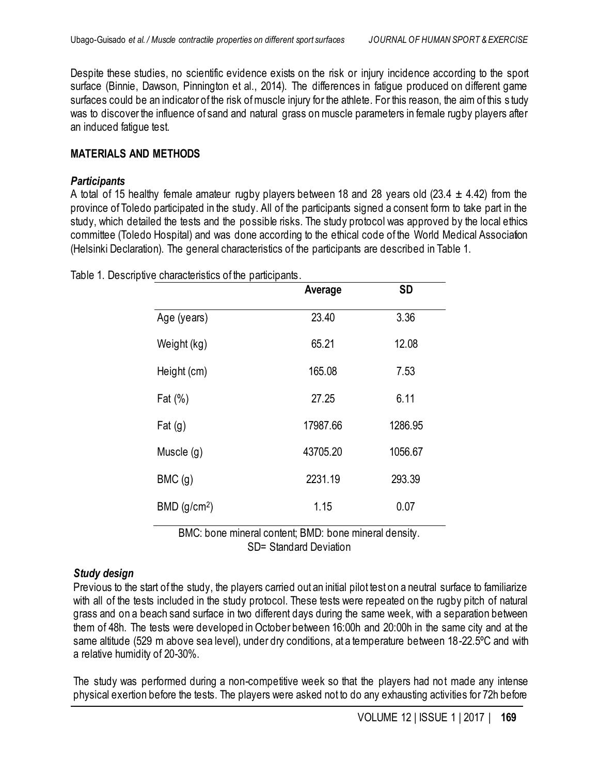Despite these studies, no scientific evidence exists on the risk or injury incidence according to the sport surface (Binnie, Dawson, Pinnington et al., 2014). The differences in fatigue produced on different game surfaces could be an indicator of the risk of muscle injury for the athlete. For this reason, the aim of this s tudy was to discover the influence of sand and natural grass on muscle parameters in female rugby players after an induced fatigue test.

### **MATERIALS AND METHODS**

#### *Participants*

A total of 15 healthy female amateur rugby players between 18 and 28 years old (23.4  $\pm$  4.42) from the province of Toledo participated in the study. All of the participants signed a consent form to take part in the study, which detailed the tests and the possible risks. The study protocol was approved by the local ethics committee (Toledo Hospital) and was done according to the ethical code of the World Medical Association (Helsinki Declaration). The general characteristics of the participants are described in Table 1.

|                            | Average  | <b>SD</b> |
|----------------------------|----------|-----------|
| Age (years)                | 23.40    | 3.36      |
| Weight (kg)                | 65.21    | 12.08     |
| Height (cm)                | 165.08   | 7.53      |
| Fat $(\%)$                 | 27.25    | 6.11      |
| Fat $(g)$                  | 17987.66 | 1286.95   |
| Muscle $(q)$               | 43705.20 | 1056.67   |
| BMC(g)                     | 2231.19  | 293.39    |
| $BMD$ (g/cm <sup>2</sup> ) | 1.15     | 0.07      |

Table 1. Descriptive characteristics of the participants.

 BMC: bone mineral content; BMD: bone mineral density. SD= Standard Deviation

## *Study design*

 Previous to the start of the study, the players carried out an initial pilot test on a neutral surface to familiarize with all of the tests included in the study protocol. These tests were repeated on the rugby pitch of natural grass and on a beach sand surface in two different days during the same week, with a separation between them of 48h. The tests were developed in October between 16:00h and 20:00h in the same city and at the same altitude (529 m above sea level), under dry conditions, at a temperature between 18-22.5°C and with a relative humidity of 20-30%.

 The study was performed during a non-competitive week so that the players had not made any intense physical exertion before the tests. The players were asked not to do any exhausting activities for 72h before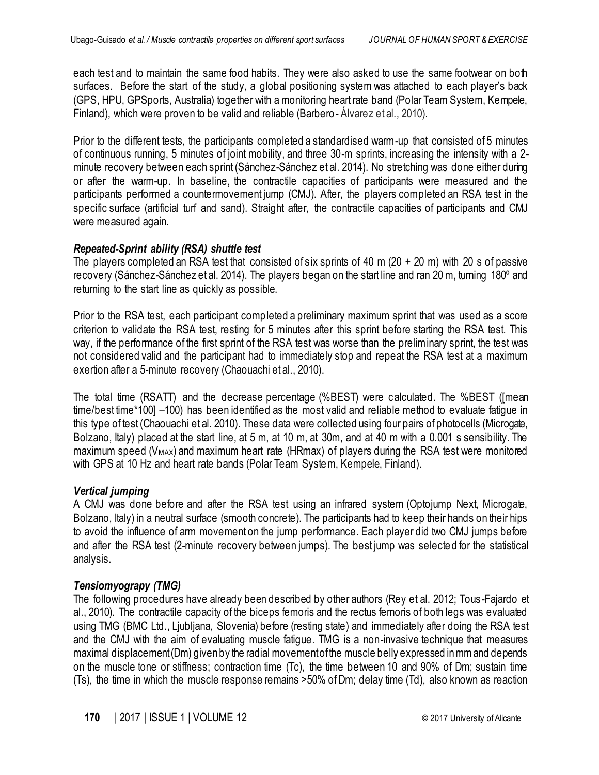each test and to maintain the same food habits. They were also asked to use the same footwear on both surfaces. Before the start of the study, a global positioning system was attached to each player's back (GPS, HPU, GPSports, Australia) together with a monitoring heart rate band (Polar Team System, Kempele, Finland), which were proven to be valid and reliable (Barbero - Álvarez et al., 2010).

 Prior to the different tests, the participants completed a standardised warm-up that consisted of 5 minutes of continuous running, 5 minutes of joint mobility, and three 30-m sprints, increasing the intensity with a 2- minute recovery between each sprint (Sánchez-Sánchez et al. 2014). No stretching was done either during or after the warm-up. In baseline, the contractile capacities of participants were measured and the participants performed a countermovement jump (CMJ). After, the players completed an RSA test in the specific surface (artificial turf and sand). Straight after, the contractile capacities of participants and CMJ were measured again.

## *Repeated-Sprint ability (RSA) shuttle test*

 The players completed an RSA test that consisted of six sprints of 40 m (20 + 20 m) with 20 s of passive recovery (Sánchez-Sánchez et al. 2014). The players began on the start line and ran 20 m, turning 180° and returning to the start line as quickly as possible.

 Prior to the RSA test, each participant completed a preliminary maximum sprint that was used as a score criterion to validate the RSA test, resting for 5 minutes after this sprint before starting the RSA test. This way, if the performance of the first sprint of the RSA test was worse than the preliminary sprint, the test was not considered valid and the participant had to immediately stop and repeat the RSA test at a maximum exertion after a 5-minute recovery (Chaouachi et al., 2010).

 The total time (RSATT) and the decrease percentage (%BEST) were calculated. The %BEST ([mean time/best time\*100] –100) has been identified as the most valid and reliable method to evaluate fatigue in this type of test (Chaouachi et al. 2010). These data were collected using four pairs of photocells (Microgate, Bolzano, Italy) placed at the start line, at 5 m, at 10 m, at 30m, and at 40 m with a 0.001 s sensibility. The maximum speed ( $V_{MAX}$ ) and maximum heart rate (HRmax) of players during the RSA test were monitored with GPS at 10 Hz and heart rate bands (Polar Team System, Kempele, Finland).

## *Vertical jumping*

A CMJ was done before and after the RSA test using an infrared system (Optojump Next, Microgate, Bolzano, Italy) in a neutral surface (smooth concrete). The participants had to keep their hands on their hips to avoid the influence of arm movement on the jump performance. Each player did two CMJ jumps before and after the RSA test (2-minute recovery between jumps). The best jump was selecte d for the statistical analysis.

## *Tensiomyograpy (TMG)*

 The following procedures have already been described by other authors (Rey et al. 2012; Tous-Fajardo et al., 2010). The contractile capacity of the biceps femoris and the rectus femoris of both legs was evaluated using TMG (BMC Ltd., Ljubljana, Slovenia) before (resting state) and immediately after doing the RSA test and the CMJ with the aim of evaluating muscle fatigue. TMG is a non-invasive technique that measures maximal displacement(Dm) givenby the radial movementofthe muscle belly expressed inmm and depends on the muscle tone or stiffness; contraction time (Tc), the time between 10 and 90% of Dm; sustain time (Ts), the time in which the muscle response remains >50% of Dm; delay time (Td), also known as reaction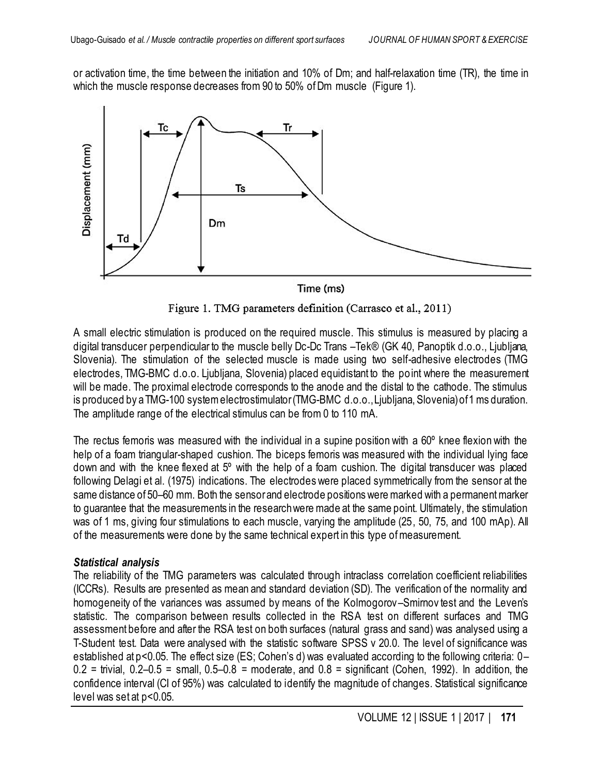or activation time, the time between the initiation and 10% of Dm; and half-relaxation time (TR), the time in which the muscle response decreases from 90 to 50% of Dm muscle (Figure 1).



Time (ms)

Figure 1. TMG parameters definition (Carrasco et al., 2011)

 A small electric stimulation is produced on the required muscle. This stimulus is measured by placing a digital transducer perpendicular to the muscle belly Dc-Dc Trans –Tek® (GK 40, Panoptik d.o.o., Ljubljana, Slovenia). The stimulation of the selected muscle is made using two self-adhesive electrodes (TMG electrodes, TMG-BMC d.o.o. Ljubljana, Slovenia) placed equidistant to the po int where the measurement will be made. The proximal electrode corresponds to the anode and the distal to the cathode. The stimulus is produced by a TMG-100 system electrostimulator(TMG-BMC d.o.o.,Ljubljana, Slovenia)of1 ms duration. The amplitude range of the electrical stimulus can be from 0 to 110 mA.

 The rectus femoris was measured with the individual in a supine position with a 60º knee flexion with the help of a foam triangular-shaped cushion. The biceps femoris was measured with the individual lying face down and with the knee flexed at 5º with the help of a foam cushion. The digital transducer was placed following Delagi et al. (1975) indications. The electrodes were placed symmetrically from the sensor at the same distance of 50–60 mm. Both the sensorand electrode positions were marked with a permanent marker to guarantee that the measurements in the researchwere made at the same point. Ultimately, the stimulation was of 1 ms, giving four stimulations to each muscle, varying the amplitude (25, 50, 75, and 100 mAp). All of the measurements were done by the same technical expert in this type of measurement.

#### *Statistical analysis*

 The reliability of the TMG parameters was calculated through intraclass correlation coefficient reliabilities (ICCRs). Results are presented as mean and standard deviation (SD). The verification of the normality and homogeneity of the variances was assumed by means of the Kolmogorov –Smirnov test and the Leven's statistic. The comparison between results collected in the RSA test on different surfaces and TMG assessment before and after the RSA test on both surfaces (natural grass and sand) was analysed using a T-Student test. Data were analysed with the statistic software SPSS v 20.0. The level of significance was established at p<0.05. The effect size (ES; Cohen's d) was evaluated according to the following criteria: 0–  $0.2$  = trivial,  $0.2-0.5$  = small,  $0.5-0.8$  = moderate, and  $0.8$  = significant (Cohen, 1992). In addition, the confidence interval (CI of 95%) was calculated to identify the magnitude of changes. Statistical significance level was set at p<0.05.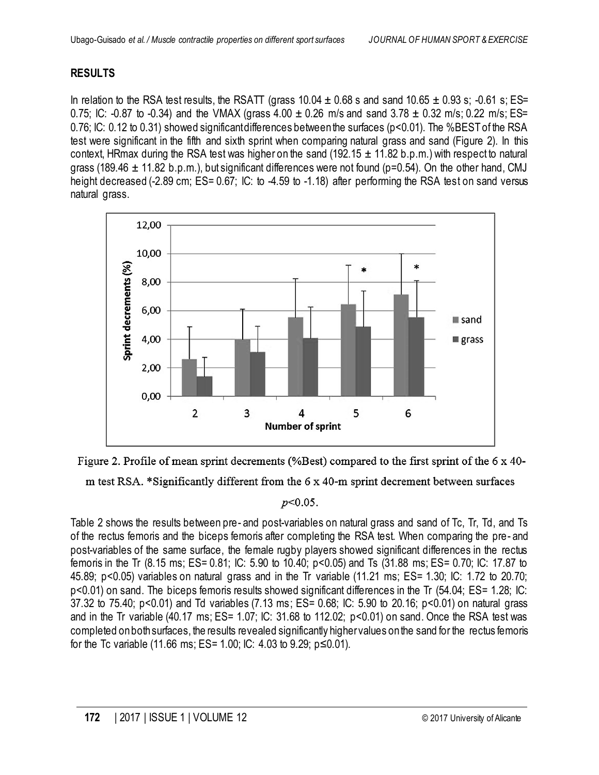## **RESULTS**

In relation to the RSA test results, the RSATT (grass  $10.04 \pm 0.68$  s and sand  $10.65 \pm 0.93$  s; -0.61 s; ES= 0.75; IC: -0.87 to -0.34) and the VMAX (grass 4.00  $\pm$  0.26 m/s and sand 3.78  $\pm$  0.32 m/s; 0.22 m/s; ES= 0.76; IC: 0.12 to 0.31) showed significantdifferences betweenthe surfaces (p<0.01). The %BEST of the RSA test were significant in the fifth and sixth sprint when comparing natural grass and sand (Figure 2). In this context, HRmax during the RSA test was higher on the sand (192.15  $\pm$  11.82 b.p.m.) with respect to natural grass (189.46  $\pm$  11.82 b.p.m.), but significant differences were not found (p=0.54). On the other hand, CMJ height decreased (-2.89 cm; ES= 0.67; IC: to -4.59 to -1.18) after performing the RSA test on sand versus natural grass.





m test RSA. \*Significantly different from the 6 x 40-m sprint decrement between surfaces

#### $p<0.05$ .

 Table 2 shows the results between pre- and post-variables on natural grass and sand of Tc, Tr, Td, and Ts of the rectus femoris and the biceps femoris after completing the RSA test. When comparing the pre- and post-variables of the same surface, the female rugby players showed significant differences in the rectus femoris in the Tr (8.15 ms; ES= 0.81; IC: 5.90 to 10.40; p<0.05) and Ts (31.88 ms; ES= 0.70; IC: 17.87 to 45.89; p<0.05) variables on natural grass and in the Tr variable (11.21 ms; ES= 1.30; IC: 1.72 to 20.70; p<0.01) on sand. The biceps femoris results showed significant differences in the Tr (54.04; ES= 1.28; IC: 37.32 to 75.40; p<0.01) and Td variables (7.13 ms; ES= 0.68; IC: 5.90 to 20.16; p<0.01) on natural grass and in the Tr variable (40.17 ms; ES= 1.07; IC: 31.68 to 112.02; p<0.01) on sand. Once the RSA test was completed onboth surfaces, the results revealed significantly highervalues onthe sand for the rectus femoris for the Tc variable (11.66 ms; ES= 1.00; IC: 4.03 to 9.29; p≤0.01).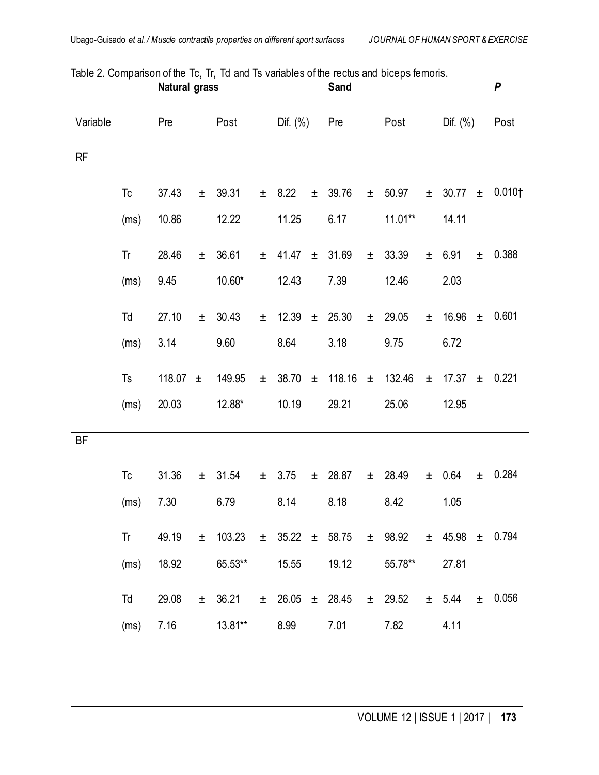|           |      | <b>Natural grass</b> |       |                                                                          |       |             | Sand  |                         |       |             |       |             |       | $\boldsymbol{P}$   |
|-----------|------|----------------------|-------|--------------------------------------------------------------------------|-------|-------------|-------|-------------------------|-------|-------------|-------|-------------|-------|--------------------|
| Variable  |      | Pre                  |       | Post                                                                     |       | Dif. (%)    |       | Pre                     |       | Post        |       | Dif. (%)    |       | Post               |
| RF        |      |                      |       |                                                                          |       |             |       |                         |       |             |       |             |       |                    |
|           | Tc   | 37.43                | $\pm$ | 39.31                                                                    |       | $\pm$ 8.22  | $\pm$ | 39.76                   | $\pm$ | 50.97       | $\pm$ | $30.77 \pm$ |       | 0.010 <sub>1</sub> |
|           | (ms) | 10.86                |       | 12.22                                                                    |       | 11.25       |       | 6.17                    |       | 11.01**     |       | 14.11       |       |                    |
|           | Tr   | 28.46                | $\pm$ | 36.61                                                                    |       | $\pm$ 41.47 |       | ± 31.69                 | $\pm$ | 33.39       | $\pm$ | 6.91        | $\pm$ | 0.388              |
|           | (ms) | 9.45                 |       | 10.60*                                                                   |       | 12.43       |       | 7.39                    |       | 12.46       |       | 2.03        |       |                    |
|           | Td   | 27.10                | $\pm$ | 30.43                                                                    | $\pm$ | 12.39       |       | $\pm$ 25.30             | $\pm$ | 29.05       | $\pm$ | 16.96       | $\pm$ | 0.601              |
|           | (ms) | 3.14                 |       | 9.60                                                                     |       | 8.64        |       | 3.18                    |       | 9.75        |       | 6.72        |       |                    |
|           | Ts   | 118.07 $\pm$         |       | 149.95                                                                   | $\pm$ | 38.70       | $\pm$ | 118.16                  | $\pm$ | 132.46      | $\pm$ | 17.37       | $\pm$ | 0.221              |
|           | (ms) | 20.03                |       | 12.88*                                                                   |       | 10.19       |       | 29.21                   |       | 25.06       |       | 12.95       |       |                    |
|           |      |                      |       |                                                                          |       |             |       |                         |       |             |       |             |       |                    |
| <b>BF</b> |      |                      |       |                                                                          |       |             |       |                         |       |             |       |             |       |                    |
|           | Tc   | 31.36                |       | $±$ 31.54                                                                |       | ± 3.75      |       | $\pm$ 28.87             | $\pm$ | 28.49       | $\pm$ | 0.64        | $\pm$ | 0.284              |
|           | (ms) | 7.30                 |       | 6.79                                                                     |       | 8.14        |       | 8.18                    |       | 8.42        |       | 1.05        |       |                    |
|           | Tr   | 49.19                |       | $\pm$ 103.23 $\pm$ 35.22 $\pm$ 58.75 $\pm$ 98.92 $\pm$ 45.98 $\pm$ 0.794 |       |             |       |                         |       |             |       |             |       |                    |
|           | (ms) | 18.92                |       | 65.53**                                                                  |       | 15.55       |       | 19.12                   |       | 55.78**     |       | 27.81       |       |                    |
|           | Td   | 29.08                |       | $\pm$ 36.21                                                              |       |             |       | $\pm$ 26.05 $\pm$ 28.45 |       | $\pm$ 29.52 |       | ± 5.44      |       | $\pm$ 0.056        |
|           | (ms) | 7.16                 |       | 13.81**                                                                  |       | 8.99        |       | 7.01                    |       | 7.82        |       | 4.11        |       |                    |

Table 2. Comparison of the Tc, Tr, Td and Ts variables of the rectus and biceps femoris.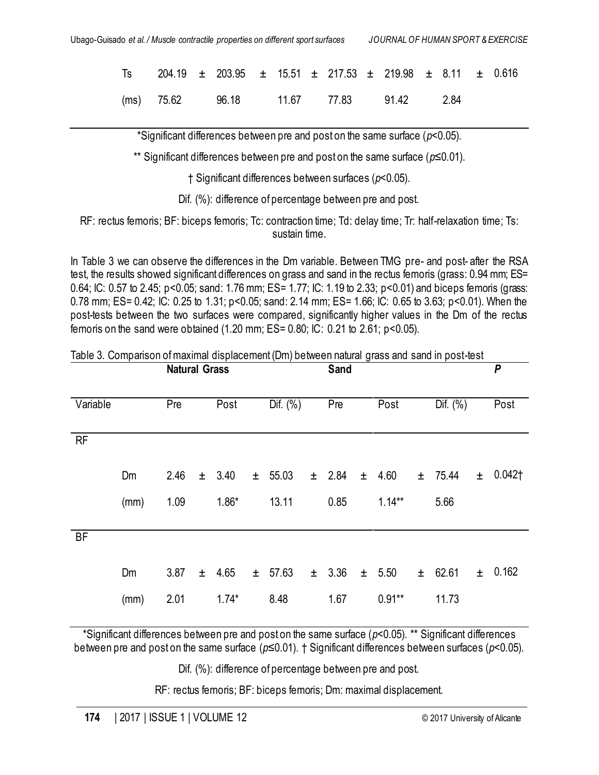|  | Ts 204.19 $\pm$ 203.95 $\pm$ 15.51 $\pm$ 217.53 $\pm$ 219.98 $\pm$ 8.11 $\pm$ 0.616 |  |  |  |  |  |
|--|-------------------------------------------------------------------------------------|--|--|--|--|--|
|  | (ms) 75.62 96.18 11.67 77.83 91.42 2.84                                             |  |  |  |  |  |

\*Significant differences between pre and post on the same surface (*p*<0.05).

\*\* Significant differences between pre and post on the same surface (*p*≤0.01).

† Significant differences between surfaces (*p*<0.05).

Dif. (%): difference of percentage between pre and post.

 RF: rectus femoris; BF: biceps femoris; Tc: contraction time; Td: delay time; Tr: half-relaxation time; Ts: sustain time.

 In Table 3 we can observe the differences in the Dm variable. Between TMG pre- and post- after the RSA test, the results showed significant differences on grass and sand in the rectus femoris (grass: 0.94 mm; ES= 0.64; IC: 0.57 to 2.45; p<0.05; sand: 1.76 mm; ES= 1.77; IC: 1.19 to 2.33; p<0.01) and biceps femoris (grass: 0.78 mm; ES= 0.42; IC: 0.25 to 1.31; p<0.05; sand: 2.14 mm; ES= 1.66; IC: 0.65 to 3.63; p<0.01). When the post-tests between the two surfaces were compared, significantly higher values in the Dm of the rectus femoris on the sand were obtained (1.20 mm; ES= 0.80; IC: 0.21 to 2.61; p<0.05).

**Natural Grass Sand Sand P** 

| Variable  |      | Pre  |       | Post       |       | Dif. $(\%)$ |       | Pre    |       | Post      | Dif. $(\% )$ | Post         |
|-----------|------|------|-------|------------|-------|-------------|-------|--------|-------|-----------|--------------|--------------|
| RF        |      |      |       |            |       |             |       |        |       |           |              |              |
|           | Dm   | 2.46 | $\pm$ | 3.40       | $\pm$ | 55.03       |       | ± 2.84 | $\pm$ | 4.60      | $\pm$ 75.44  | $\pm$ 0.042† |
|           | (mm) | 1.09 |       | $1.86*$    |       | 13.11       |       | 0.85   |       | $1.14**$  | 5.66         |              |
|           |      |      |       |            |       |             |       |        |       |           |              |              |
| <b>BF</b> |      |      |       |            |       |             |       |        |       |           |              |              |
|           | Dm   | 3.87 |       | $\pm$ 4.65 | $\pm$ | 57.63       | $\pm$ | 3.36   | $\pm$ | 5.50      | ± 62.61      | $\pm$ 0.162  |
|           | (mm) | 2.01 |       | $1.74*$    |       | 8.48        |       | 1.67   |       | $0.91***$ | 11.73        |              |

Table 3. Comparison of maximal displacement (Dm) between natural grass and sand in post-test

 \*Significant differences between pre and post on the same surface (*p*<0.05). \*\* Significant differences between pre and post on the same surface (*p*≤0.01). † Significant differences between surfaces (*p*<0.05).

Dif. (%): difference of percentage between pre and post.

RF: rectus femoris; BF: biceps femoris; Dm: maximal displacement.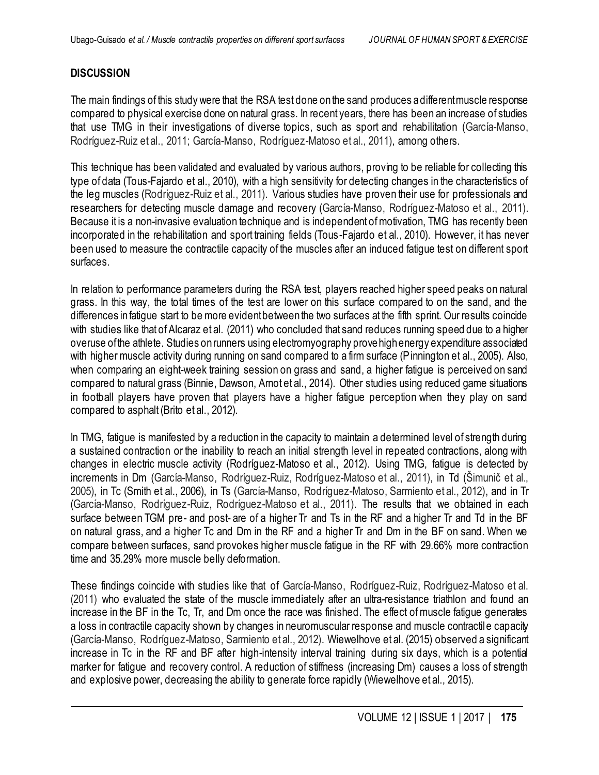## **DISCUSSION**

 The main findings of this study were that the RSA test done onthe sand produces adifferentmuscle response compared to physical exercise done on natural grass. In recent years, there has been an increase of studies that use TMG in their investigations of diverse topics, such as sport and rehabilitation (García-Manso, Rodríguez-Ruiz et al., 2011; García-Manso, Rodríguez-Matoso et al., 2011), among others.

 This technique has been validated and evaluated by various authors, proving to be reliable for collecting this type of data (Tous-Fajardo et al., 2010), with a high sensitivity for detecting changes in the characteristics of the leg muscles (Rodríguez-Ruiz et al., 2011). Various studies have proven their use for professionals and researchers for detecting muscle damage and recovery (García-Manso, Rodríguez-Matoso et al., 2011). Because it is a non-invasive evaluation technique and is independent of motivation, TMG has recently been incorporated in the rehabilitation and sport training fields (Tous-Fajardo et al., 2010). However, it has never been used to measure the contractile capacity of the muscles after an induced fatigue test on different sport surfaces.

 In relation to performance parameters during the RSA test, players reached higher speed peaks on natural grass. In this way, the total times of the test are lower on this surface compared to on the sand, and the differences infatigue start to be more evidentbetweenthe two surfaces at the fifth sprint. Our results coincide with studies like that of Alcaraz et al. (2011) who concluded that sand reduces running speed due to a higher overuse ofthe athlete. Studies onrunners using electromyography provehighenergy expenditure associated with higher muscle activity during running on sand compared to a firm surface (Pinnington et al., 2005). Also, when comparing an eight-week training session on grass and sand, a higher fatigue is perceived on sand compared to natural grass (Binnie, Dawson, Arnot et al., 2014). Other studies using reduced game situations in football players have proven that players have a higher fatigue perception when they play on sand compared to asphalt (Brito et al., 2012).

 In TMG, fatigue is manifested by a reduction in the capacity to maintain a determined level of strength during a sustained contraction or the inability to reach an initial strength level in repeated contractions, along with changes in electric muscle activity (Rodríguez-Matoso et al., 2012). Using TMG, fatigue is detected by increments in Dm (García-Manso, Rodríguez-Ruiz, Rodríguez-Matoso et al., 2011), in Td (Šimunič et al., 2005), in Tc (Smith et al., 2006), in Ts (García-Manso, Rodríguez-Matoso, Sarmiento et al., 2012), and in Tr (García-Manso, Rodríguez-Ruiz, Rodríguez-Matoso et al., 2011). The results that we obtained in each surface between TGM pre- and post- are of a higher Tr and Ts in the RF and a higher Tr and Td in the BF on natural grass, and a higher Tc and Dm in the RF and a higher Tr and Dm in the BF on sand. When we compare between surfaces, sand provokes higher muscle fatigue in the RF with 29.66% more contraction time and 35.29% more muscle belly deformation.

 These findings coincide with studies like that of García-Manso, Rodríguez-Ruiz, Rodríguez-Matoso et al. (2011) who evaluated the state of the muscle immediately after an ultra-resistance triathlon and found an increase in the BF in the Tc, Tr, and Dm once the race was finished. The effect of muscle fatigue generates a loss in contractile capacity shown by changes in neuromuscular response and muscle contractil e capacity (García-Manso, Rodríguez-Matoso, Sarmiento et al., 2012). Wiewelhove et al. (2015) observed a significant increase in Tc in the RF and BF after high-intensity interval training during six days, which is a potential marker for fatigue and recovery control. A reduction of stiffness (increasing Dm) causes a loss of strength and explosive power, decreasing the ability to generate force rapidly (Wiewelhove et al., 2015).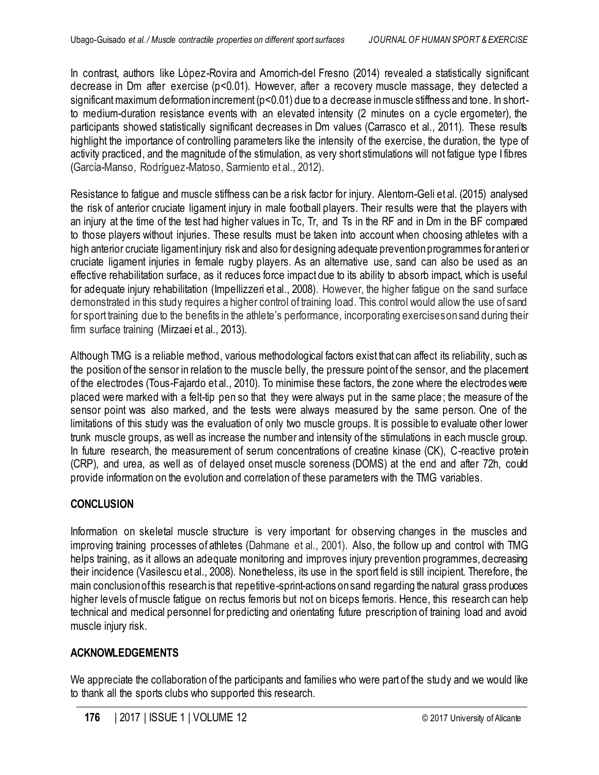In contrast, authors like López-Rovira and Amorrich-del Fresno (2014) revealed a statistically significant decrease in Dm after exercise (p<0.01). However, after a recovery muscle massage, they detected a significant maximum deformation increment (p<0.01) due to a decrease inmuscle stiffness and tone. In short- to medium-duration resistance events with an elevated intensity (2 minutes on a cycle ergometer), the participants showed statistically significant decreases in Dm values (Carrasco et al., 2011). These results highlight the importance of controlling parameters like the intensity of the exercise, the duration, the type of activity practiced, and the magnitude of the stimulation, as very short stimulations will not fatigue type I fibres (García-Manso, Rodríguez-Matoso, Sarmiento et al., 2012).

 Resistance to fatigue and muscle stiffness can be a risk factor for injury. Alentorn-Geli et al. (2015) analysed the risk of anterior cruciate ligament injury in male football players. Their results were that the players with an injury at the time of the test had higher values in Tc, Tr, and Ts in the RF and in Dm in the BF compared to those players without injuries. These results must be taken into account when choosing athletes with a high anterior cruciate ligamentinjury risk and also for designing adequate preventionprogrammes foranteri or cruciate ligament injuries in female rugby players. As an alternative use, sand can also be used as an effective rehabilitation surface, as it reduces force impact due to its ability to absorb impact, which is useful for adequate injury rehabilitation (Impellizzeri et al., 2008). However, the higher fatigue on the sand surface demonstrated in this study requires a higher control of training load. This control would allow the use of sand for sport training due to the benefits in the athlete's performance, incorporating exerciseson sand during their firm surface training (Mirzaei et al., 2013).

 Although TMG is a reliable method, various methodological factors exist that can affect its reliability, such as the position of the sensor in relation to the muscle belly, the pressure point of the sensor, and the placement of the electrodes (Tous-Fajardo et al., 2010). To minimise these factors, the zone where the electrodes were placed were marked with a felt-tip pen so that they were always put in the same place; the measure of the sensor point was also marked, and the tests were always measured by the same person. One of the limitations of this study was the evaluation of only two muscle groups. It is possible to evaluate other lower trunk muscle groups, as well as increase the number and intensity of the stimulations in each muscle group. In future research, the measurement of serum concentrations of creatine kinase (CK), C-reactive protein (CRP), and urea, as well as of delayed onset muscle soreness (DOMS) at the end and after 72h, could provide information on the evolution and correlation of these parameters with the TMG variables.

## **CONCLUSION**

 Information on skeletal muscle structure is very important for observing changes in the muscles and improving training processes of athletes (Dahmane et al., 2001). Also, the follow up and control with TMG helps training, as it allows an adequate monitoring and improves injury prevention programmes, decreasing their incidence (Vasilescu et al., 2008). Nonetheless, its use in the sport field is still incipient. Therefore, the main conclusionofthis research is that repetitive-sprint-actions on sand regarding the natural grass produces higher levels of muscle fatigue on rectus femoris but not on biceps femoris. Hence, this research can help technical and medical personnel for predicting and orientating future prescription of training load and avoid muscle injury risk.

## **ACKNOWLEDGEMENTS**

 We appreciate the collaboration of the participants and families who were part of the study and we would like to thank all the sports clubs who supported this research.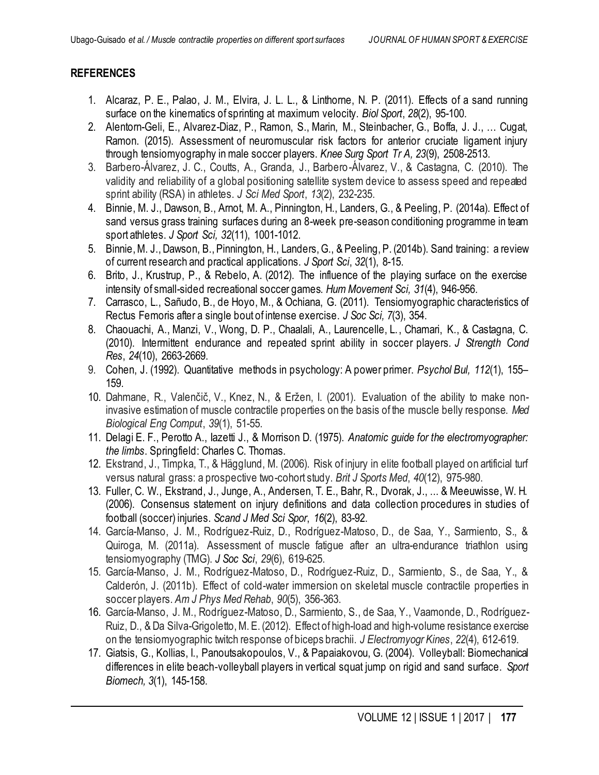## **REFERENCES**

- 1. Alcaraz, P. E., Palao, J. M., Elvira, J. L. L., & Linthorne, N. P. (2011). Effects of a sand running surface on the kinematics of sprinting at maximum velocity. *Biol Sport*, *28*(2), 95-100.
- 2. Alentorn-Geli, E., Alvarez-Diaz, P., Ramon, S., Marin, M., Steinbacher, G., Boffa, J. J., … Cugat, Ramon. (2015). Assessment of neuromuscular risk factors for anterior cruciate ligament injury through tensiomyography in male soccer players. *Knee Surg Sport Tr A, 23*(9), 2508-2513.
- 3. Barbero-Álvarez, J. C., Coutts, A., Granda, J., Barbero-Álvarez, V., & Castagna, C. (2010). The validity and reliability of a global positioning satellite system device to assess speed and repeated sprint ability (RSA) in athletes. *J Sci Med Sport*, *13*(2), 232-235.
- 4. Binnie, M. J., Dawson, B., Arnot, M. A., Pinnington, H., Landers, G., & Peeling, P. (2014a). Effect of sand versus grass training surfaces during an 8-week pre-season conditioning programme in team sport athletes. *J Sport Sci, 32*(11), 1001-1012.
- 5. Binnie, M. J., Dawson, B., Pinnington, H., Landers, G., & Peeling, P. (2014b). Sand training: a review of current research and practical applications. *J Sport Sci*, *32*(1), 8-15.
- 6. Brito, J., Krustrup, P., & Rebelo, A. (2012). The influence of the playing surface on the exercise intensity of small-sided recreational soccer games. *Hum Movement Sci, 31*(4), 946-956.
- 7. Carrasco, L., Sañudo, B., de Hoyo, M., & Ochiana, G. (2011). Tensiomyographic characteristics of Rectus Femoris after a single bout of intense exercise. *J Soc Sci, 7*(3), 354.
- 8. Chaouachi, A., Manzi, V., Wong, D. P., Chaalali, A., Laurencelle, L., Chamari, K., & Castagna, C. (2010). Intermittent endurance and repeated sprint ability in soccer players. *J Strength Cond Res*, *24*(10), 2663-2669.
- 9. Cohen, J. (1992). Quantitative methods in psychology: A power primer. *Psychol Bul, 112*(1), 155– 159.
- 10. Dahmane, R., Valenčič, V., Knez, N., & Eržen, I. (2001). Evaluation of the ability to make non- invasive estimation of muscle contractile properties on the basis of the muscle belly response. *Med Biological Eng Comput*, *39*(1), 51-55.
- 11. Delagi E. F., Perotto A., Iazetti J., & Morrison D. (1975). *Anatomic guide for the electromyographer: the limbs*. Springfield: Charles C. Thomas.
- 12. Ekstrand, J., Timpka, T., & Hägglund, M. (2006). Risk of injury in elite football played on artificial turf versus natural grass: a prospective two-cohort study. *Brit J Sports Med*, *40*(12), 975-980.
- 13. Fuller, C. W., Ekstrand, J., Junge, A., Andersen, T. E., Bahr, R., Dvorak, J., ... & Meeuwisse, W. H. (2006). Consensus statement on injury definitions and data collection procedures in studies of football (soccer) injuries. *Scand J Med Sci Spor*, *16*(2), 83-92.
- 14. García-Manso, J. M., Rodríguez-Ruiz, D., Rodríguez-Matoso, D., de Saa, Y., Sarmiento, S., & Quiroga, M. (2011a). Assessment of muscle fatigue after an ultra-endurance triathlon using  tensiomyography (TMG). *J Soc Sci*, *29*(6), 619-625.
- 15. García-Manso, J. M., Rodríguez-Matoso, D., Rodríguez-Ruiz, D., Sarmiento, S., de Saa, Y., & Calderón, J. (2011b). Effect of cold-water immersion on skeletal muscle contractile properties in  soccer players. *Am J Phys Med Rehab*, *90*(5), 356-363.
- 16. García-Manso, J. M., Rodríguez-Matoso, D., Sarmiento, S., de Saa, Y., Vaamonde, D., Rodríguez- Ruiz, D., & Da Silva-Grigoletto, M. E. (2012). Effect of high-load and high-volume resistance exercise on the tensiomyographic twitch response of biceps brachii. *J Electromyogr Kines*, *22*(4), 612-619.
- 17. Giatsis, G., Kollias, I., Panoutsakopoulos, V., & Papaiakovou, G. (2004). Volleyball: Biomechanical differences in elite beach‐volleyball players in vertical squat jump on rigid and sand surface. *Sport Biomech, 3*(1), 145-158.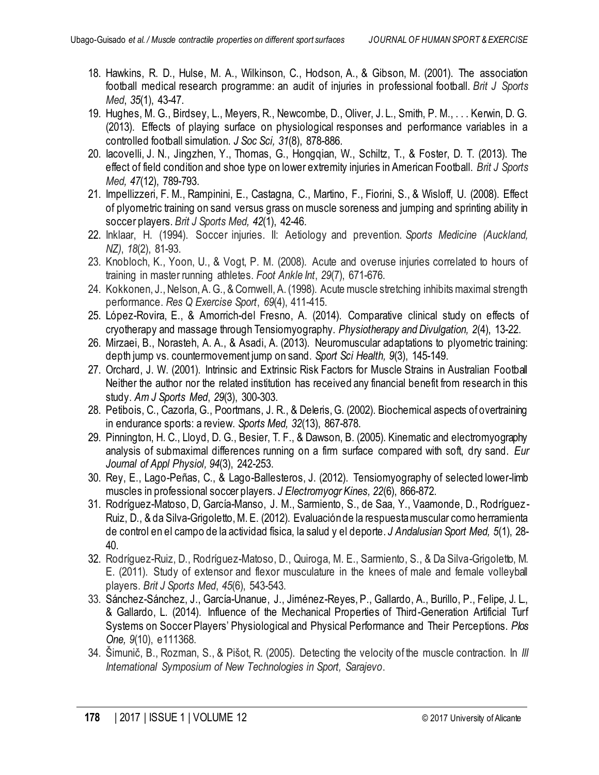- 18. Hawkins, R. D., Hulse, M. A., Wilkinson, C., Hodson, A., & Gibson, M. (2001). The association football medical research programme: an audit of injuries in professional football. *Brit J Sports Med*, *35*(1), 43-47.
- 19. Hughes, M. G., Birdsey, L., Meyers, R., Newcombe, D., Oliver, J. L., Smith, P. M., . . . Kerwin, D. G. (2013). Effects of playing surface on physiological responses and performance variables in a controlled football simulation. *J Soc Sci, 31*(8), 878-886.
- 20. Iacovelli, J. N., Jingzhen, Y., Thomas, G., Hongqian, W., Schiltz, T., & Foster, D. T. (2013). The effect of field condition and shoe type on lower extremity injuries in American Football. *Brit J Sports Med, 47*(12), 789-793.
- 21. Impellizzeri, F. M., Rampinini, E., Castagna, C., Martino, F., Fiorini, S., & Wisloff, U. (2008). Effect of plyometric training on sand versus grass on muscle soreness and jumping and sprinting ability in soccer players. *Brit J Sports Med, 42*(1), 42-46.
- 22. Inklaar, H. (1994). Soccer injuries. II: Aetiology and prevention. *Sports Medicine (Auckland, NZ)*, *18*(2), 81-93.
- 23. Knobloch, K., Yoon, U., & Vogt, P. M. (2008). Acute and overuse injuries correlated to hours of training in master running athletes. *Foot Ankle Int*, *29*(7), 671-676.
- 24. Kokkonen, J., Nelson, A. G., & Cornwell, A. (1998). Acute muscle stretching inhibits maximal strength  performance. *Res Q Exercise Sport*, *69*(4), 411-415.
- 25. López-Rovira, E., & Amorrich-del Fresno, A. (2014). Comparative clinical study on effects of cryotherapy and massage through Tensiomyography. *Physiotherapy and Divulgation, 2*(4), 13-22.
- 26. Mirzaei, B., Norasteh, A. A., & Asadi, A. (2013). Neuromuscular adaptations to plyometric training: depth jump vs. countermovement jump on sand. *Sport Sci Health, 9*(3), 145-149.
- 27. Orchard, J. W. (2001). Intrinsic and Extrinsic Risk Factors for Muscle Strains in Australian Football Neither the author nor the related institution has received any financial benefit from research in this  study. *Am J Sports Med*, *29*(3), 300-303.
- 28. Petibois, C., Cazorla, G., Poortmans, J. R., & Deleris, G. (2002). Biochemical aspects of overtraining in endurance sports: a review. *Sports Med, 32*(13), 867-878.
- 29. Pinnington, H. C., Lloyd, D. G., Besier, T. F., & Dawson, B. (2005). Kinematic and electromyography analysis of submaximal differences running on a firm surface compared with soft, dry sand. *Eur Journal of Appl Physiol, 94*(3), 242-253.
- 30. Rey, E., Lago-Peñas, C., & Lago-Ballesteros, J. (2012). Tensiomyography of selected lower-limb muscles in professional soccer players. *J Electromyogr Kines, 22*(6), 866-872.
- 31. Rodríguez-Matoso, D, García-Manso, J. M., Sarmiento, S., de Saa, Y., Vaamonde, D., Rodríguez Ruiz, D., & da Silva-Grigoletto, M. E. (2012). Evaluaciónde la respuestamuscular como herramienta de control en el campo de la actividad física, la salud y el deporte. *J Andalusian Sport Med, 5*(1), 28- 40.
- 32. Rodríguez-Ruiz, D., Rodríguez-Matoso, D., Quiroga, M. E., Sarmiento, S., & Da Silva-Grigoletto, M. E. (2011). Study of extensor and flexor musculature in the knees of male and female volleyball  players. *Brit J Sports Med*, *45*(6), 543-543.
- 33. Sánchez-Sánchez, J., García-Unanue, J., Jiménez-Reyes, P., Gallardo, A., Burillo, P., Felipe, J. L., & Gallardo, L. (2014). Influence of the Mechanical Properties of Third-Generation Artificial Turf Systems on Soccer Players' Physiological and Physical Performance and Their Perceptions. *Plos One, 9*(10), e111368.
- 34. Šimunič, B., Rozman, S., & Pišot, R. (2005). Detecting the velocity of the muscle contraction. In *III International Symposium of New Technologies in Sport, Sarajevo*.